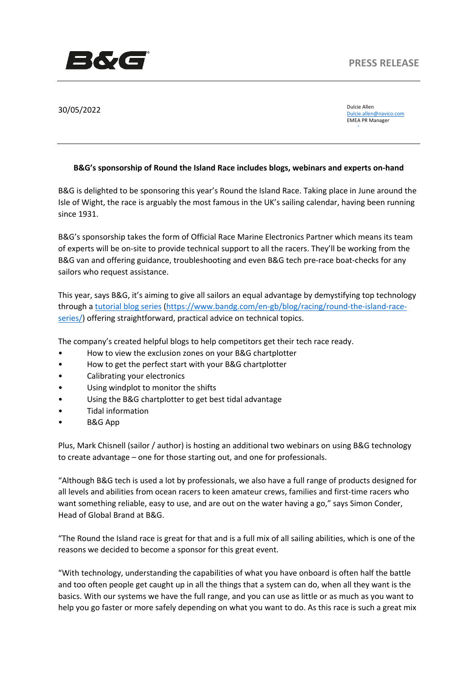

30/05/2022

Dulcie Allen Dulcie.allen@navico.com EMEA PR Manager

email

## **B&G's sponsorship of Round the Island Race includes blogs, webinars and experts on-hand**

B&G is delighted to be sponsoring this year's Round the Island Race. Taking place in June around the Isle of Wight, the race is arguably the most famous in the UK's sailing calendar, having been running since 1931.

B&G's sponsorship takes the form of Official Race Marine Electronics Partner which means its team of experts will be on-site to provide technical support to all the racers. They'll be working from the B&G van and offering guidance, troubleshooting and even B&G tech pre-race boat-checks for any sailors who request assistance.

This year, says B&G, it's aiming to give all sailors an equal advantage by demystifying top technology through a tutorial blog series (https://www.bandg.com/en-gb/blog/racing/round-the-island-raceseries/) offering straightforward, practical advice on technical topics.

The company's created helpful blogs to help competitors get their tech race ready.

- How to view the exclusion zones on your B&G chartplotter
- How to get the perfect start with your B&G chartplotter
- Calibrating your electronics
- Using windplot to monitor the shifts
- Using the B&G chartplotter to get best tidal advantage
- Tidal information
- B&G App

Plus, Mark Chisnell (sailor / author) is hosting an additional two webinars on using B&G technology to create advantage – one for those starting out, and one for professionals.

"Although B&G tech is used a lot by professionals, we also have a full range of products designed for all levels and abilities from ocean racers to keen amateur crews, families and first-time racers who want something reliable, easy to use, and are out on the water having a go," says Simon Conder, Head of Global Brand at B&G.

"The Round the Island race is great for that and is a full mix of all sailing abilities, which is one of the reasons we decided to become a sponsor for this great event.

"With technology, understanding the capabilities of what you have onboard is often half the battle and too often people get caught up in all the things that a system can do, when all they want is the basics. With our systems we have the full range, and you can use as little or as much as you want to help you go faster or more safely depending on what you want to do. As this race is such a great mix